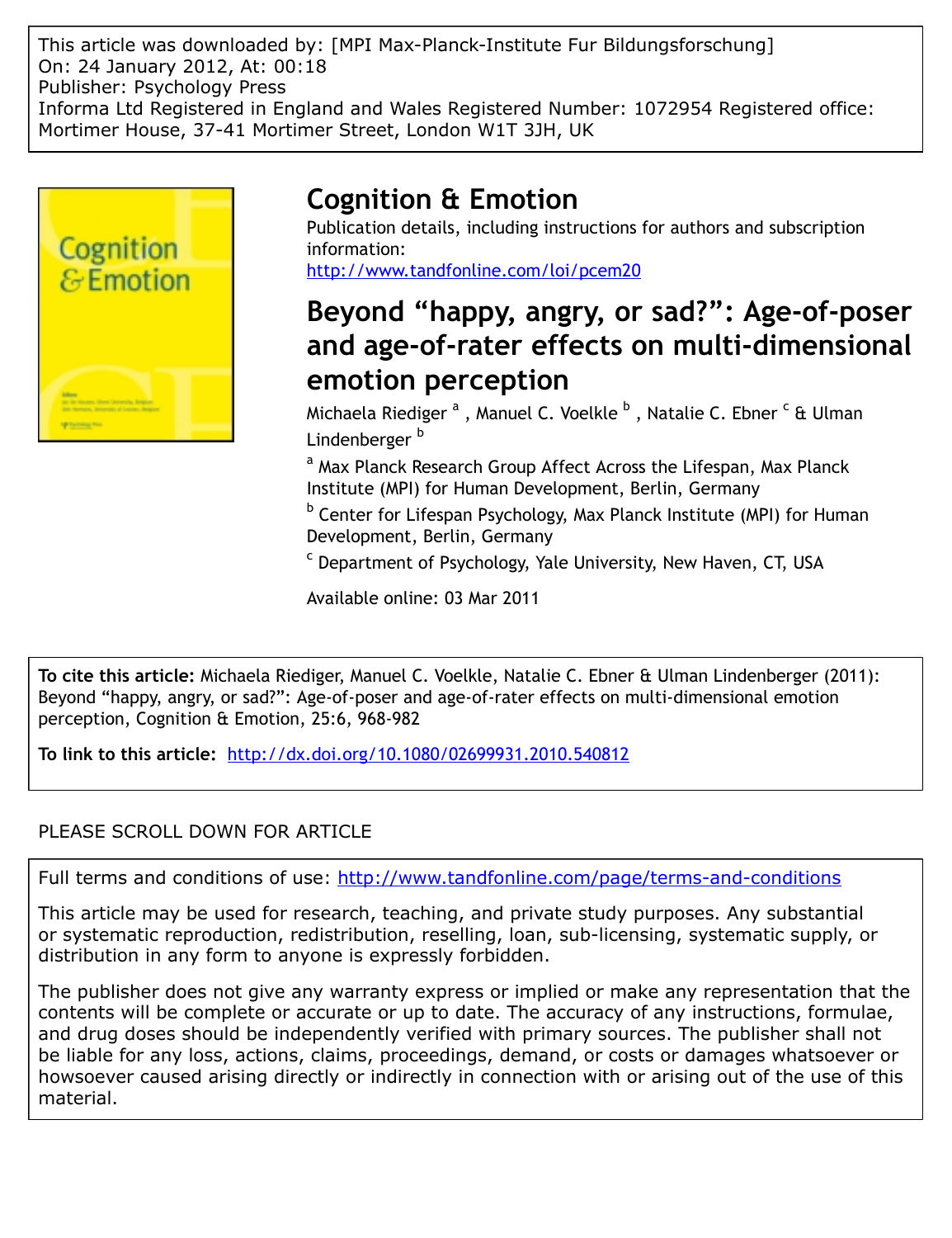This article was downloaded by: [MPI Max-Planck-Institute Fur Bildungsforschung] On: 24 January 2012, At: 00:18 Publisher: Psychology Press Informa Ltd Registered in England and Wales Registered Number: 1072954 Registered office: Mortimer House, 37-41 Mortimer Street, London W1T 3JH, UK



# **Cognition & Emotion**

Publication details, including instructions for authors and subscription information:

<http://www.tandfonline.com/loi/pcem20>

# **Beyond "happy, angry, or sad?": Age-of-poser and age-of-rater effects on multi-dimensional emotion perception**

Michaela Riediger <sup>a</sup> , Manuel C. Voelkle <sup>b</sup> , Natalie C. Ebner <sup>c</sup> & Ulman Lindenberger b

<sup>a</sup> Max Planck Research Group Affect Across the Lifespan, Max Planck Institute (MPI) for Human Development, Berlin, Germany

<sup>b</sup> Center for Lifespan Psychology, Max Planck Institute (MPI) for Human Development, Berlin, Germany

<sup>c</sup> Department of Psychology, Yale University, New Haven, CT, USA

Available online: 03 Mar 2011

**To cite this article:** Michaela Riediger, Manuel C. Voelkle, Natalie C. Ebner & Ulman Lindenberger (2011): Beyond "happy, angry, or sad?": Age-of-poser and age-of-rater effects on multi-dimensional emotion perception, Cognition & Emotion, 25:6, 968-982

**To link to this article:** <http://dx.doi.org/10.1080/02699931.2010.540812>

# PLEASE SCROLL DOWN FOR ARTICLE

Full terms and conditions of use:<http://www.tandfonline.com/page/terms-and-conditions>

This article may be used for research, teaching, and private study purposes. Any substantial or systematic reproduction, redistribution, reselling, loan, sub-licensing, systematic supply, or distribution in any form to anyone is expressly forbidden.

The publisher does not give any warranty express or implied or make any representation that the contents will be complete or accurate or up to date. The accuracy of any instructions, formulae, and drug doses should be independently verified with primary sources. The publisher shall not be liable for any loss, actions, claims, proceedings, demand, or costs or damages whatsoever or howsoever caused arising directly or indirectly in connection with or arising out of the use of this material.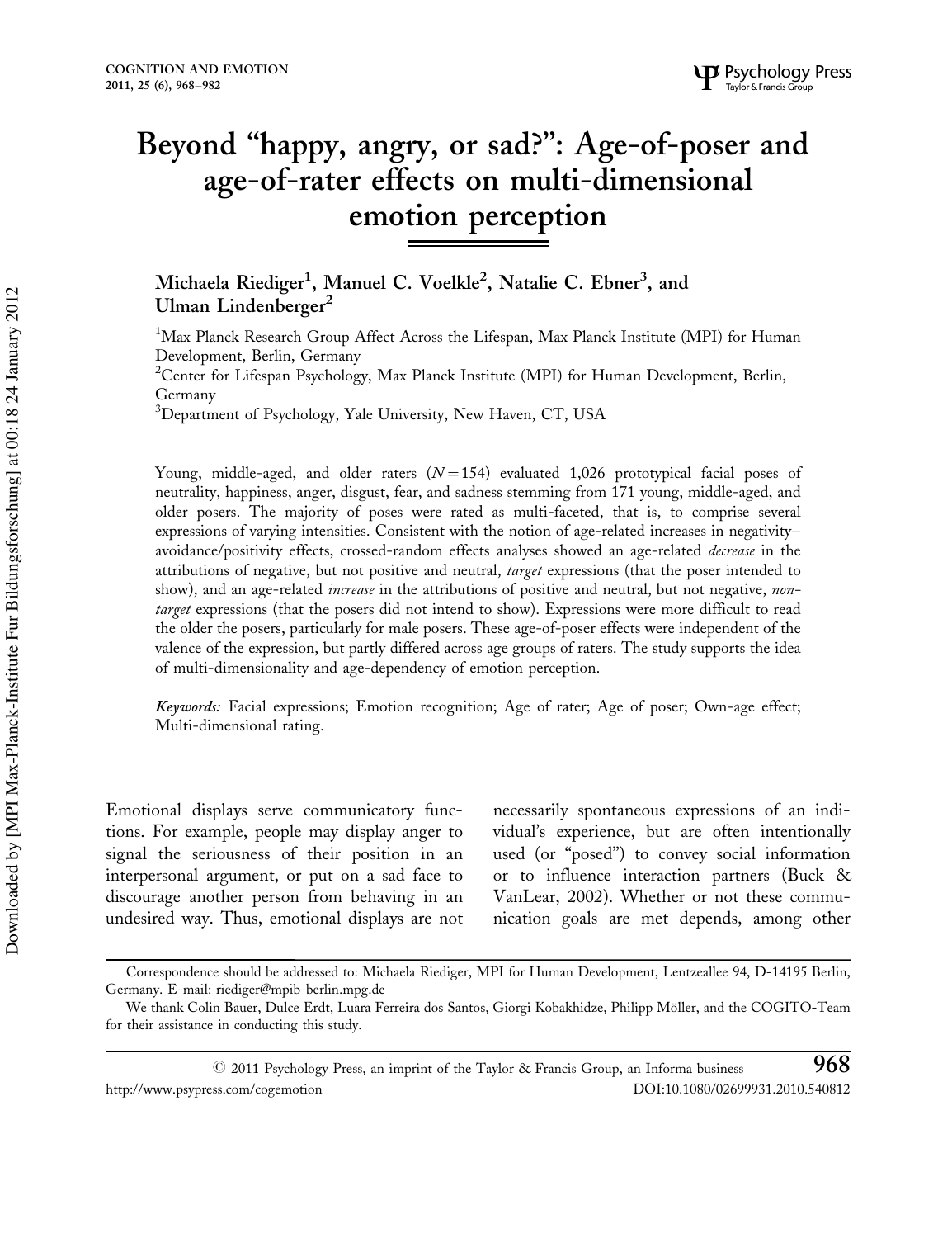# Beyond ''happy, angry, or sad?'': Age-of-poser and age-of-rater effects on multi-dimensional emotion perception

Michaela Riediger<sup>1</sup>, Manuel C. Voelkle<sup>2</sup>, Natalie C. Ebner<sup>3</sup>, and Ulman Lindenberger<sup>2</sup>

<sup>1</sup>Max Planck Research Group Affect Across the Lifespan, Max Planck Institute (MPI) for Human Development, Berlin, Germany

<sup>2</sup>Center for Lifespan Psychology, Max Planck Institute (MPI) for Human Development, Berlin, Germany

<sup>3</sup>Department of Psychology, Yale University, New Haven, CT, USA

Young, middle-aged, and older raters  $(N=154)$  evaluated 1,026 prototypical facial poses of neutrality, happiness, anger, disgust, fear, and sadness stemming from 171 young, middle-aged, and older posers. The majority of poses were rated as multi-faceted, that is, to comprise several expressions of varying intensities. Consistent with the notion of age-related increases in negativityavoidance/positivity effects, crossed-random effects analyses showed an age-related decrease in the attributions of negative, but not positive and neutral, target expressions (that the poser intended to show), and an age-related *increase* in the attributions of positive and neutral, but not negative, nontarget expressions (that the posers did not intend to show). Expressions were more difficult to read the older the posers, particularly for male posers. These age-of-poser effects were independent of the valence of the expression, but partly differed across age groups of raters. The study supports the idea of multi-dimensionality and age-dependency of emotion perception.

Keywords: Facial expressions; Emotion recognition; Age of rater; Age of poser; Own-age effect; Multi-dimensional rating.

Emotional displays serve communicatory functions. For example, people may display anger to signal the seriousness of their position in an interpersonal argument, or put on a sad face to discourage another person from behaving in an undesired way. Thus, emotional displays are not

necessarily spontaneous expressions of an individual's experience, but are often intentionally used (or "posed") to convey social information or to influence interaction partners (Buck & VanLear, 2002). Whether or not these communication goals are met depends, among other

Correspondence should be addressed to: Michaela Riediger, MPI for Human Development, Lentzeallee 94, D-14195 Berlin, Germany. E-mail: riediger@mpib-berlin.mpg.de

We thank Colin Bauer, Dulce Erdt, Luara Ferreira dos Santos, Giorgi Kobakhidze, Philipp Möller, and the COGITO-Team for their assistance in conducting this study.

 $\circledcirc$  2011 Psychology Press, an imprint of the Taylor & Francis Group, an Informa business  $968$ <http://www.psypress.com/cogemotion> DOI:10.1080/02699931.2010.540812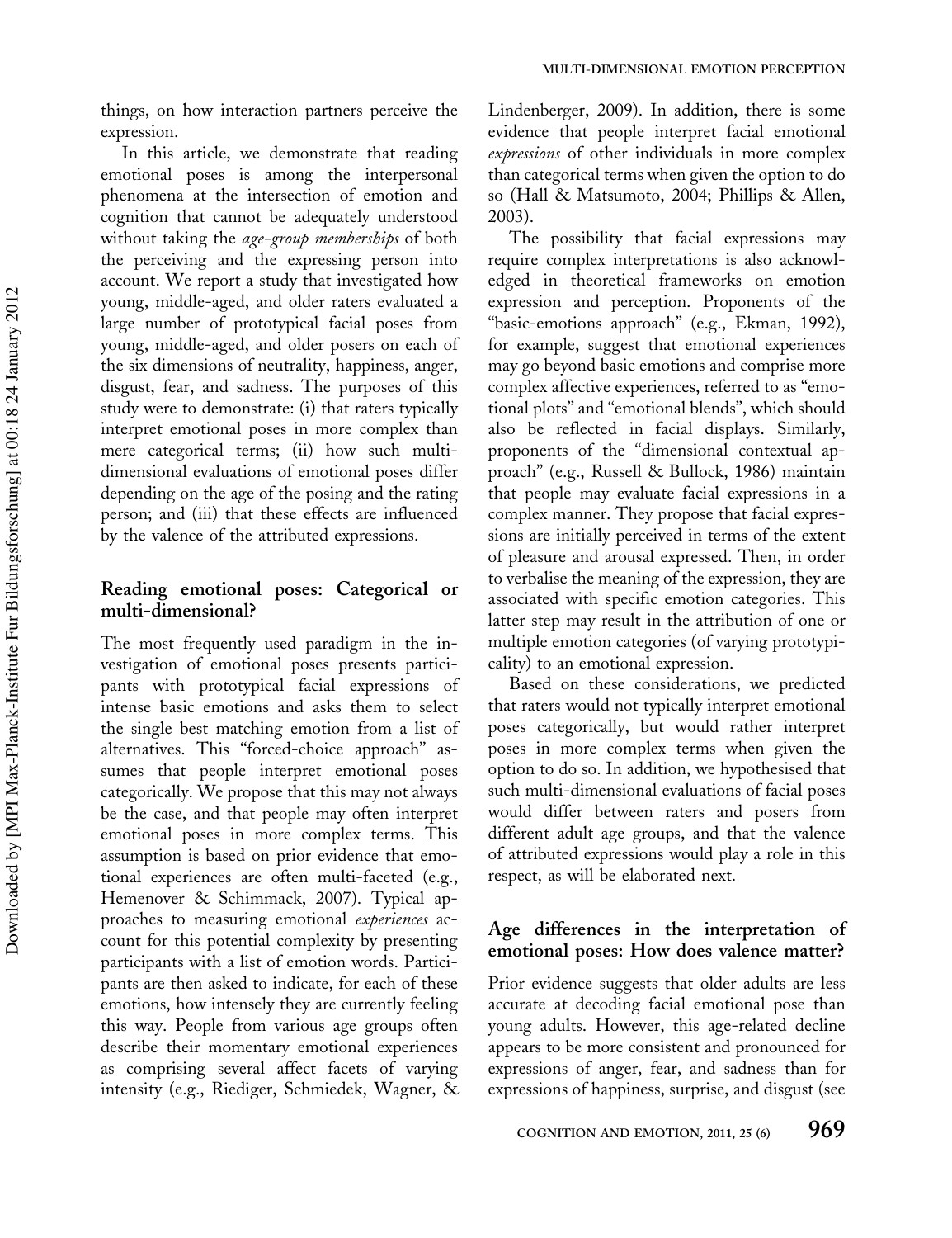things, on how interaction partners perceive the expression.

In this article, we demonstrate that reading emotional poses is among the interpersonal phenomena at the intersection of emotion and cognition that cannot be adequately understood without taking the age-group memberships of both the perceiving and the expressing person into account. We report a study that investigated how young, middle-aged, and older raters evaluated a large number of prototypical facial poses from young, middle-aged, and older posers on each of the six dimensions of neutrality, happiness, anger, disgust, fear, and sadness. The purposes of this study were to demonstrate: (i) that raters typically interpret emotional poses in more complex than mere categorical terms; (ii) how such multidimensional evaluations of emotional poses differ depending on the age of the posing and the rating person; and (iii) that these effects are influenced by the valence of the attributed expressions.

#### Reading emotional poses: Categorical or multi-dimensional?

The most frequently used paradigm in the investigation of emotional poses presents participants with prototypical facial expressions of intense basic emotions and asks them to select the single best matching emotion from a list of alternatives. This ''forced-choice approach'' assumes that people interpret emotional poses categorically. We propose that this may not always be the case, and that people may often interpret emotional poses in more complex terms. This assumption is based on prior evidence that emotional experiences are often multi-faceted (e.g., Hemenover & Schimmack, 2007). Typical approaches to measuring emotional experiences account for this potential complexity by presenting participants with a list of emotion words. Participants are then asked to indicate, for each of these emotions, how intensely they are currently feeling this way. People from various age groups often describe their momentary emotional experiences as comprising several affect facets of varying intensity (e.g., Riediger, Schmiedek, Wagner, &

Lindenberger, 2009). In addition, there is some evidence that people interpret facial emotional expressions of other individuals in more complex than categorical terms when given the option to do so (Hall & Matsumoto, 2004; Phillips & Allen, 2003).

The possibility that facial expressions may require complex interpretations is also acknowledged in theoretical frameworks on emotion expression and perception. Proponents of the ''basic-emotions approach'' (e.g., Ekman, 1992), for example, suggest that emotional experiences may go beyond basic emotions and comprise more complex affective experiences, referred to as ''emotional plots'' and ''emotional blends'', which should also be reflected in facial displays. Similarly, proponents of the "dimensional-contextual approach'' (e.g., Russell & Bullock, 1986) maintain that people may evaluate facial expressions in a complex manner. They propose that facial expressions are initially perceived in terms of the extent of pleasure and arousal expressed. Then, in order to verbalise the meaning of the expression, they are associated with specific emotion categories. This latter step may result in the attribution of one or multiple emotion categories (of varying prototypicality) to an emotional expression.

Based on these considerations, we predicted that raters would not typically interpret emotional poses categorically, but would rather interpret poses in more complex terms when given the option to do so. In addition, we hypothesised that such multi-dimensional evaluations of facial poses would differ between raters and posers from different adult age groups, and that the valence of attributed expressions would play a role in this respect, as will be elaborated next.

# Age differences in the interpretation of emotional poses: How does valence matter?

Prior evidence suggests that older adults are less accurate at decoding facial emotional pose than young adults. However, this age-related decline appears to be more consistent and pronounced for expressions of anger, fear, and sadness than for expressions of happiness, surprise, and disgust (see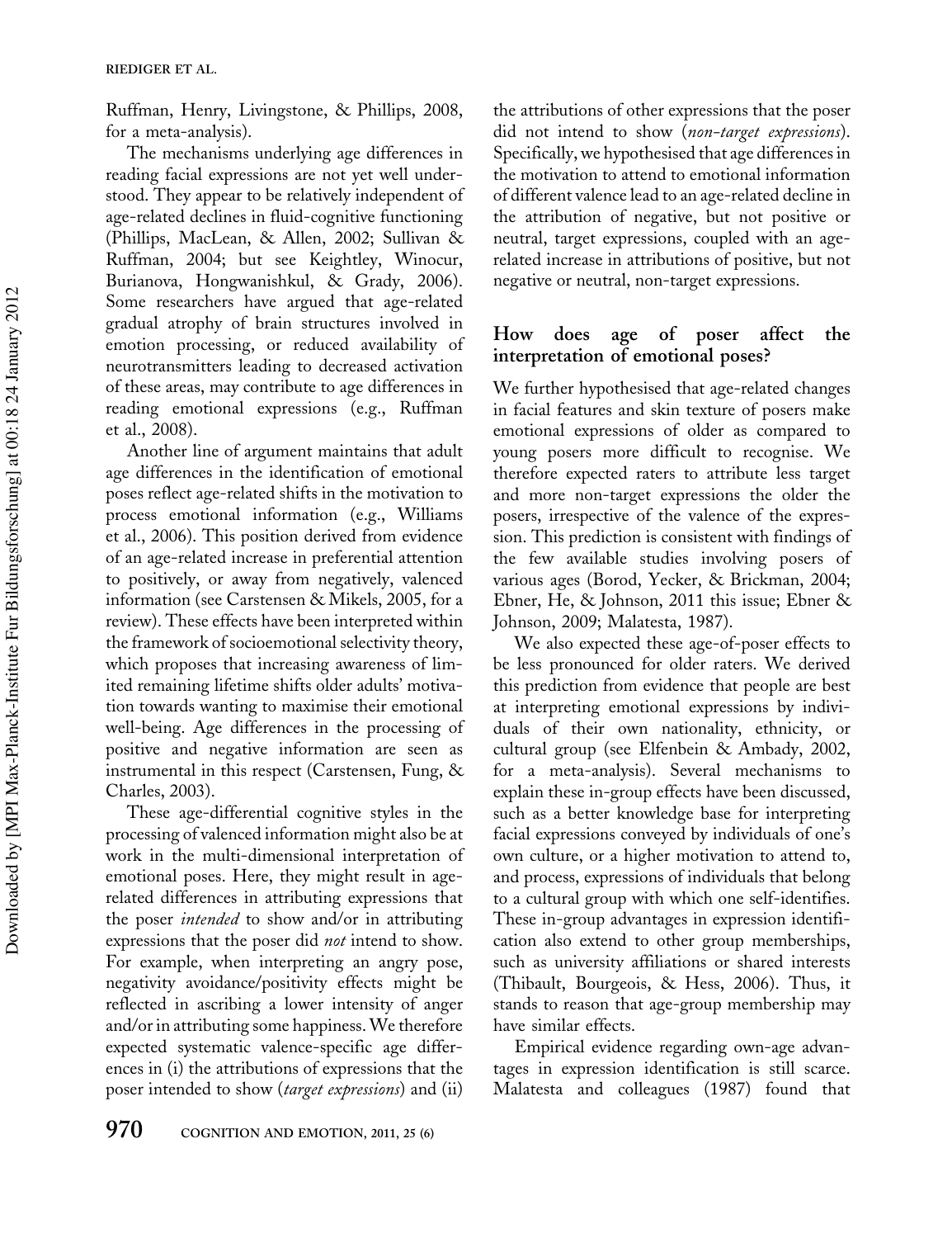Ruffman, Henry, Livingstone, & Phillips, 2008, for a meta-analysis).

The mechanisms underlying age differences in reading facial expressions are not yet well understood. They appear to be relatively independent of age-related declines in fluid-cognitive functioning (Phillips, MacLean, & Allen, 2002; Sullivan & Ruffman, 2004; but see Keightley, Winocur, Burianova, Hongwanishkul, & Grady, 2006). Some researchers have argued that age-related gradual atrophy of brain structures involved in emotion processing, or reduced availability of neurotransmitters leading to decreased activation of these areas, may contribute to age differences in reading emotional expressions (e.g., Ruffman et al., 2008).

Another line of argument maintains that adult age differences in the identification of emotional poses reflect age-related shifts in the motivation to process emotional information (e.g., Williams et al., 2006). This position derived from evidence of an age-related increase in preferential attention to positively, or away from negatively, valenced information (see Carstensen & Mikels, 2005, for a review). These effects have been interpreted within the framework of socioemotional selectivity theory, which proposes that increasing awareness of limited remaining lifetime shifts older adults' motivation towards wanting to maximise their emotional well-being. Age differences in the processing of positive and negative information are seen as instrumental in this respect (Carstensen, Fung, & Charles, 2003).

These age-differential cognitive styles in the processing of valenced information might also be at work in the multi-dimensional interpretation of emotional poses. Here, they might result in agerelated differences in attributing expressions that the poser *intended* to show and/or in attributing expressions that the poser did not intend to show. For example, when interpreting an angry pose, negativity avoidance/positivity effects might be reflected in ascribing a lower intensity of anger and/or in attributing some happiness. We therefore expected systematic valence-specific age differences in (i) the attributions of expressions that the poser intended to show (*target expressions*) and (ii)

the attributions of other expressions that the poser did not intend to show (non-target expressions). Specifically, we hypothesised that age differences in the motivation to attend to emotional information of different valence lead to an age-related decline in the attribution of negative, but not positive or neutral, target expressions, coupled with an agerelated increase in attributions of positive, but not negative or neutral, non-target expressions.

# How does age of poser affect the interpretation of emotional poses?

We further hypothesised that age-related changes in facial features and skin texture of posers make emotional expressions of older as compared to young posers more difficult to recognise. We therefore expected raters to attribute less target and more non-target expressions the older the posers, irrespective of the valence of the expression. This prediction is consistent with findings of the few available studies involving posers of various ages (Borod, Yecker, & Brickman, 2004; Ebner, He, & Johnson, 2011 this issue; Ebner & Johnson, 2009; Malatesta, 1987).

We also expected these age-of-poser effects to be less pronounced for older raters. We derived this prediction from evidence that people are best at interpreting emotional expressions by individuals of their own nationality, ethnicity, or cultural group (see Elfenbein & Ambady, 2002, for a meta-analysis). Several mechanisms to explain these in-group effects have been discussed, such as a better knowledge base for interpreting facial expressions conveyed by individuals of one's own culture, or a higher motivation to attend to, and process, expressions of individuals that belong to a cultural group with which one self-identifies. These in-group advantages in expression identification also extend to other group memberships, such as university affiliations or shared interests (Thibault, Bourgeois, & Hess, 2006). Thus, it stands to reason that age-group membership may have similar effects.

Empirical evidence regarding own-age advantages in expression identification is still scarce. Malatesta and colleagues (1987) found that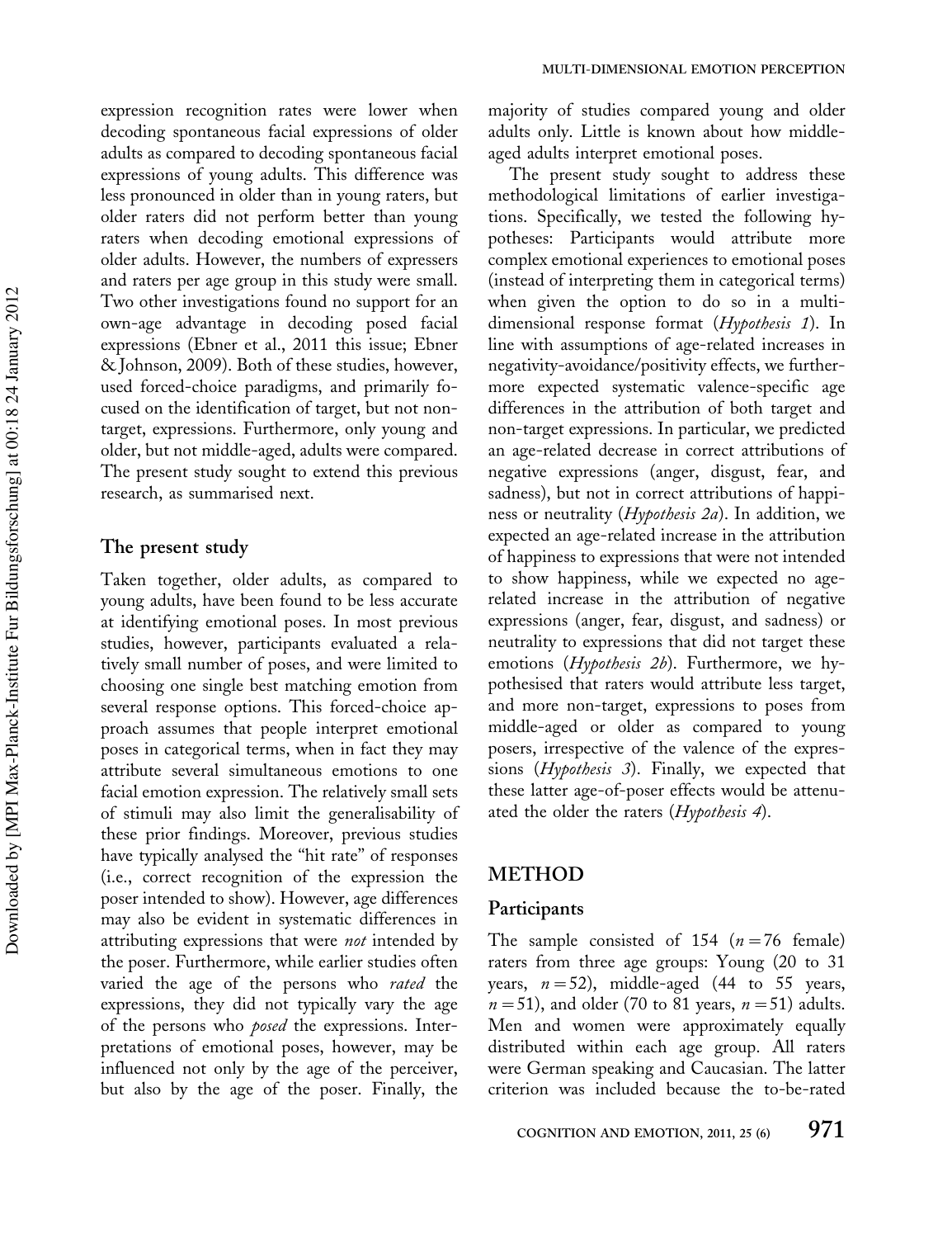expression recognition rates were lower when decoding spontaneous facial expressions of older adults as compared to decoding spontaneous facial expressions of young adults. This difference was less pronounced in older than in young raters, but older raters did not perform better than young raters when decoding emotional expressions of older adults. However, the numbers of expressers and raters per age group in this study were small. Two other investigations found no support for an own-age advantage in decoding posed facial expressions (Ebner et al., 2011 this issue; Ebner & Johnson, 2009). Both of these studies, however, used forced-choice paradigms, and primarily focused on the identification of target, but not nontarget, expressions. Furthermore, only young and older, but not middle-aged, adults were compared. The present study sought to extend this previous research, as summarised next.

#### The present study

Taken together, older adults, as compared to young adults, have been found to be less accurate at identifying emotional poses. In most previous studies, however, participants evaluated a relatively small number of poses, and were limited to choosing one single best matching emotion from several response options. This forced-choice approach assumes that people interpret emotional poses in categorical terms, when in fact they may attribute several simultaneous emotions to one facial emotion expression. The relatively small sets of stimuli may also limit the generalisability of these prior findings. Moreover, previous studies have typically analysed the "hit rate" of responses (i.e., correct recognition of the expression the poser intended to show). However, age differences may also be evident in systematic differences in attributing expressions that were *not* intended by the poser. Furthermore, while earlier studies often varied the age of the persons who rated the expressions, they did not typically vary the age of the persons who *posed* the expressions. Interpretations of emotional poses, however, may be influenced not only by the age of the perceiver, but also by the age of the poser. Finally, the

majority of studies compared young and older adults only. Little is known about how middleaged adults interpret emotional poses.

The present study sought to address these methodological limitations of earlier investigations. Specifically, we tested the following hypotheses: Participants would attribute more complex emotional experiences to emotional poses (instead of interpreting them in categorical terms) when given the option to do so in a multidimensional response format (Hypothesis 1). In line with assumptions of age-related increases in negativity-avoidance/positivity effects, we furthermore expected systematic valence-specific age differences in the attribution of both target and non-target expressions. In particular, we predicted an age-related decrease in correct attributions of negative expressions (anger, disgust, fear, and sadness), but not in correct attributions of happiness or neutrality (*Hypothesis 2a*). In addition, we expected an age-related increase in the attribution of happiness to expressions that were not intended to show happiness, while we expected no agerelated increase in the attribution of negative expressions (anger, fear, disgust, and sadness) or neutrality to expressions that did not target these emotions (Hypothesis 2b). Furthermore, we hypothesised that raters would attribute less target, and more non-target, expressions to poses from middle-aged or older as compared to young posers, irrespective of the valence of the expressions (Hypothesis 3). Finally, we expected that these latter age-of-poser effects would be attenuated the older the raters (*Hypothesis 4*).

## METHOD

#### Participants

The sample consisted of 154 ( $n = 76$  female) raters from three age groups: Young (20 to 31 years,  $n = 52$ ), middle-aged (44 to 55 years,  $n = 51$ ), and older (70 to 81 years,  $n = 51$ ) adults. Men and women were approximately equally distributed within each age group. All raters were German speaking and Caucasian. The latter criterion was included because the to-be-rated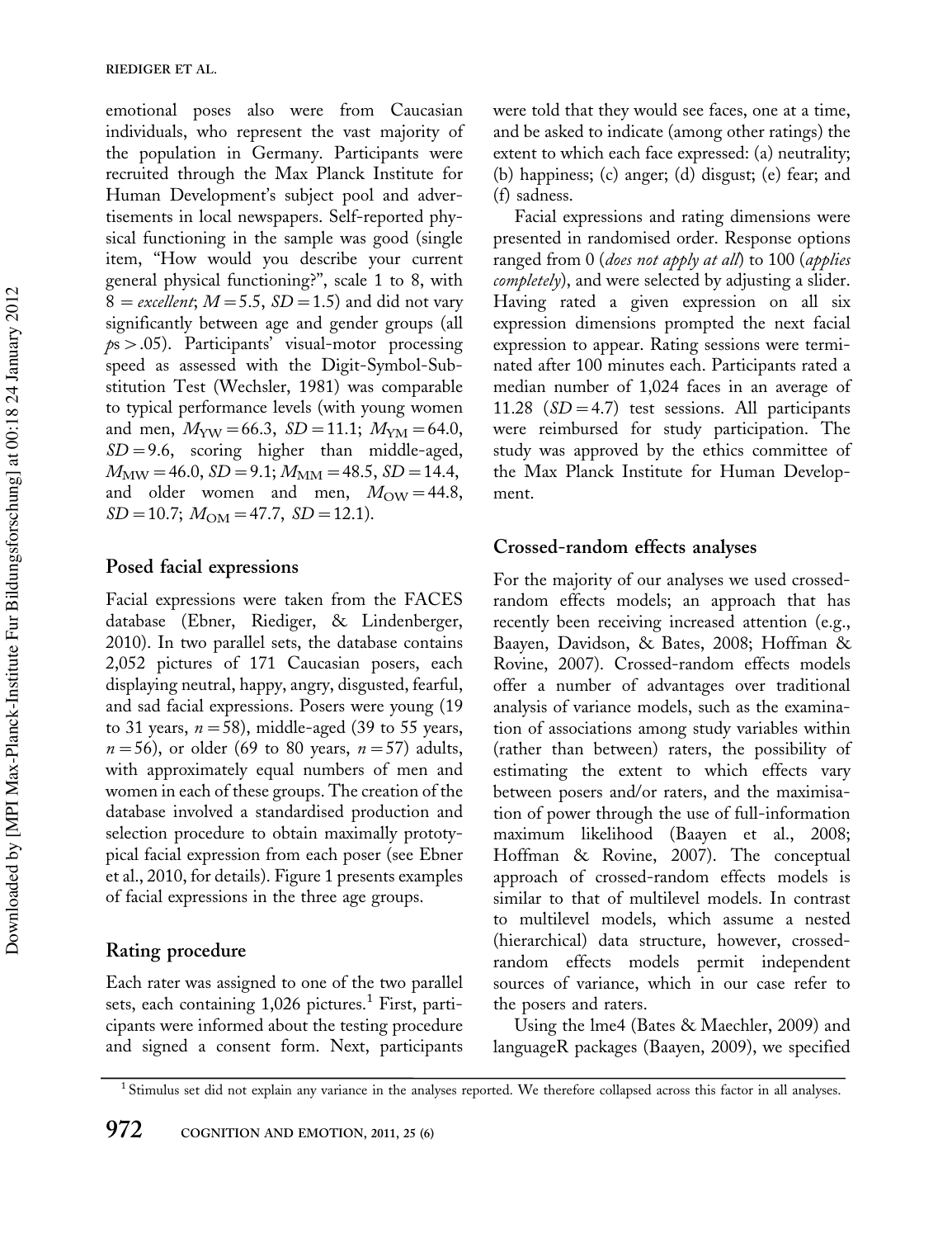emotional poses also were from Caucasian individuals, who represent the vast majority of the population in Germany. Participants were recruited through the Max Planck Institute for Human Development's subject pool and advertisements in local newspapers. Self-reported physical functioning in the sample was good (single item, "How would you describe your current general physical functioning?'', scale 1 to 8, with  $8 =$  *excellent*;  $M = 5.5$ ,  $SD = 1.5$  and did not vary significantly between age and gender groups (all  $ps$   $> .05$ ). Participants' visual-motor processing speed as assessed with the Digit-Symbol-Substitution Test (Wechsler, 1981) was comparable to typical performance levels (with young women and men,  $M_{\text{YW}} = 66.3$ ,  $SD = 11.1$ ;  $M_{\text{YM}} = 64.0$ ,  $SD = 9.6$ , scoring higher than middle-aged,  $M_{\text{MW}} = 46.0, SD = 9.1; M_{\text{MM}} = 48.5, SD = 14.4,$ and older women and men,  $M_{\text{OW}} = 44.8$ ,  $SD = 10.7; M<sub>OM</sub> = 47.7, SD = 12.1$ .

#### Posed facial expressions

Facial expressions were taken from the FACES database (Ebner, Riediger, & Lindenberger, 2010). In two parallel sets, the database contains 2,052 pictures of 171 Caucasian posers, each displaying neutral, happy, angry, disgusted, fearful, and sad facial expressions. Posers were young (19 to 31 years,  $n = 58$ ), middle-aged (39 to 55 years,  $n = 56$ , or older (69 to 80 years,  $n = 57$ ) adults, with approximately equal numbers of men and women in each of these groups. The creation of the database involved a standardised production and selection procedure to obtain maximally prototypical facial expression from each poser (see Ebner et al., 2010, for details). Figure 1 presents examples of facial expressions in the three age groups.

#### Rating procedure

Each rater was assigned to one of the two parallel sets, each containing 1,026 pictures.<sup>1</sup> First, participants were informed about the testing procedure and signed a consent form. Next, participants

were told that they would see faces, one at a time, and be asked to indicate (among other ratings) the extent to which each face expressed: (a) neutrality; (b) happiness; (c) anger; (d) disgust; (e) fear; and (f) sadness.

Facial expressions and rating dimensions were presented in randomised order. Response options ranged from 0 (does not apply at all) to 100 (applies completely), and were selected by adjusting a slider. Having rated a given expression on all six expression dimensions prompted the next facial expression to appear. Rating sessions were terminated after 100 minutes each. Participants rated a median number of 1,024 faces in an average of 11.28  $(SD = 4.7)$  test sessions. All participants were reimbursed for study participation. The study was approved by the ethics committee of the Max Planck Institute for Human Development.

#### Crossed-random effects analyses

For the majority of our analyses we used crossedrandom effects models; an approach that has recently been receiving increased attention (e.g., Baayen, Davidson, & Bates, 2008; Hoffman & Rovine, 2007). Crossed-random effects models offer a number of advantages over traditional analysis of variance models, such as the examination of associations among study variables within (rather than between) raters, the possibility of estimating the extent to which effects vary between posers and/or raters, and the maximisation of power through the use of full-information maximum likelihood (Baayen et al., 2008; Hoffman & Rovine, 2007). The conceptual approach of crossed-random effects models is similar to that of multilevel models. In contrast to multilevel models, which assume a nested (hierarchical) data structure, however, crossedrandom effects models permit independent sources of variance, which in our case refer to the posers and raters.

Using the lme4 (Bates & Maechler, 2009) and languageR packages (Baayen, 2009), we specified

<sup>1</sup> Stimulus set did not explain any variance in the analyses reported. We therefore collapsed across this factor in all analyses.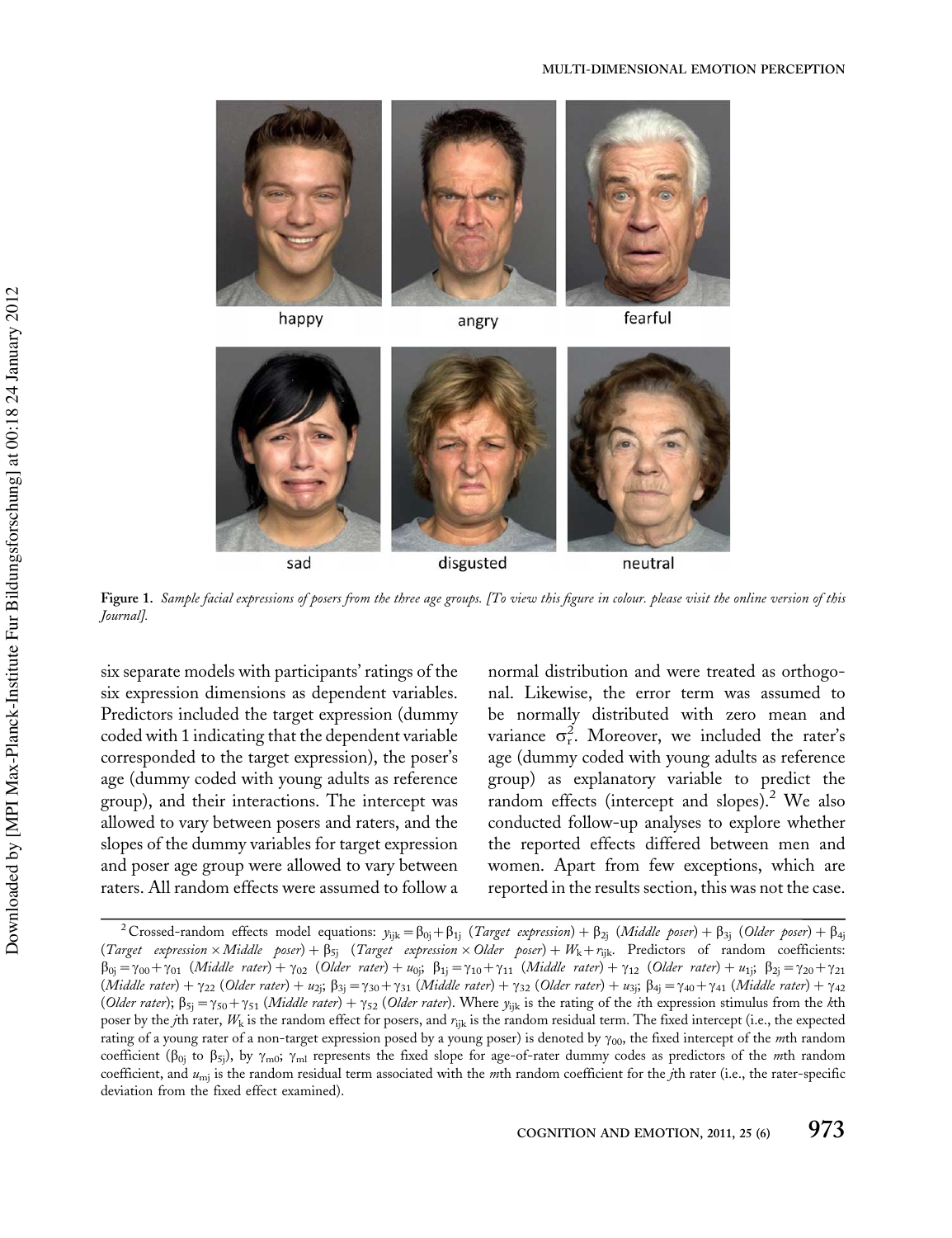

happy

angry



Figure 1. Sample facial expressions of posers from the three age groups. [To view this figure in colour. please visit the online version of this Journal].

six separate models with participants' ratings of the six expression dimensions as dependent variables. Predictors included the target expression (dummy coded with 1 indicating that the dependent variable corresponded to the target expression), the poser's age (dummy coded with young adults as reference group), and their interactions. The intercept was allowed to vary between posers and raters, and the slopes of the dummy variables for target expression and poser age group were allowed to vary between raters. All random effects were assumed to follow a

normal distribution and were treated as orthogonal. Likewise, the error term was assumed to be normally distributed with zero mean and variance  $\sigma_r^2$ . Moreover, we included the rater's age (dummy coded with young adults as reference group) as explanatory variable to predict the random effects (intercept and slopes).<sup>2</sup> We also conducted follow-up analyses to explore whether the reported effects differed between men and women. Apart from few exceptions, which are reported in the results section, this was not the case.

<sup>&</sup>lt;sup>2</sup> Crossed-random effects model equations:  $y_{ijk} = \beta_{0j} + \beta_{1j}$  (Target expression) +  $\beta_{2j}$  (Middle poser) +  $\beta_{3j}$  (Older poser) +  $\beta_{4j}$ (Target expression  $\times$  Middle poser) +  $\beta_{5j}$  (Target expression  $\times$  Older poser) +  $W_k + r_{ijk}$ . Predictors of random coefficients:  $\beta_{0j} = \gamma_{00} + \gamma_{01}$  (Middle rater) +  $\gamma_{02}$  (Older rater) +  $u_{0j}$ ;  $\beta_{1j} = \gamma_{10} + \gamma_{11}$  (Middle rater) +  $\gamma_{12}$  (Older rater) +  $u_{1j}$ ;  $\beta_{2j} = \gamma_{20} + \gamma_{21}$  $(Middle\ rate r) + \gamma_{22}$  (Older rater) + u<sub>2j</sub>;  $\beta_{3j} = \gamma_{30} + \gamma_{31}$  (Middle rater) +  $\gamma_{32}$  (Older rater) + u<sub>3j</sub>;  $\beta_{4j} = \gamma_{40} + \gamma_{41}$  (Middle rater) +  $\gamma_{42}$ (Older rater);  $\beta_{5j} = \gamma_{50} + \gamma_{51}$  (Middle rater) +  $\gamma_{52}$  (Older rater). Where  $y_{ijk}$  is the rating of the *i*th expression stimulus from the *k*th poser by the *j*th rater,  $W_k$  is the random effect for posers, and  $r_{ijk}$  is the random residual term. The fixed intercept (i.e., the expected rating of a young rater of a non-target expression posed by a young poser) is denoted by  $\gamma_{00}$ , the fixed intercept of the mth random coefficient ( $\beta_{0j}$  to  $\beta_{5j}$ ), by  $\gamma_{m0}$ ;  $\gamma_{m1}$  represents the fixed slope for age-of-rater dummy codes as predictors of the *mth* random coefficient, and  $u_{\rm mi}$  is the random residual term associated with the mth random coefficient for the *j*th rater (i.e., the rater-specific deviation from the fixed effect examined).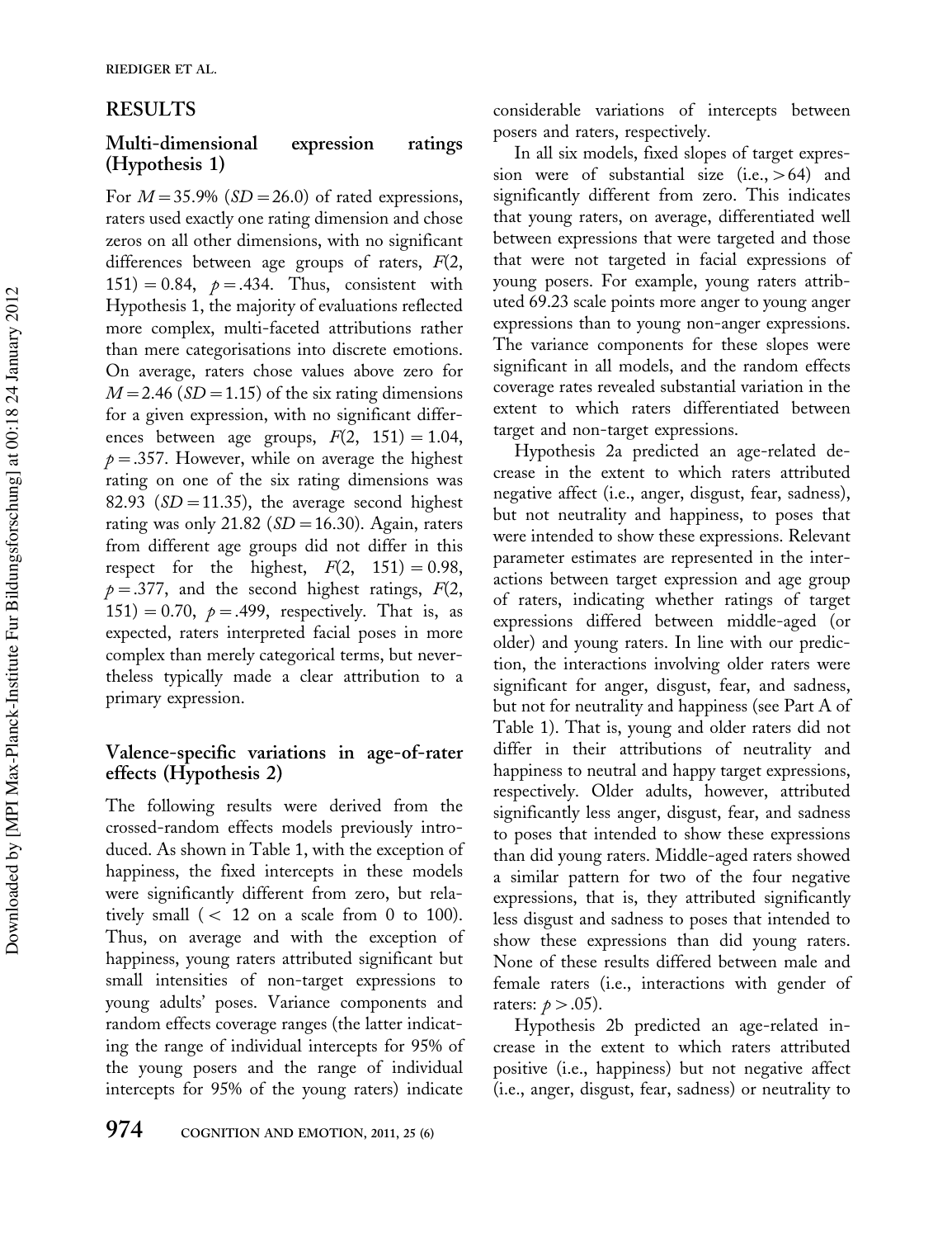#### RESULTS

## Multi-dimensional expression ratings (Hypothesis 1)

For  $M = 35.9\%$  (SD = 26.0) of rated expressions, raters used exactly one rating dimension and chose zeros on all other dimensions, with no significant differences between age groups of raters,  $F(2)$ ,  $(151) = 0.84$ ,  $p = .434$ . Thus, consistent with Hypothesis 1, the majority of evaluations reflected more complex, multi-faceted attributions rather than mere categorisations into discrete emotions. On average, raters chose values above zero for  $M = 2.46$  (SD = 1.15) of the six rating dimensions for a given expression, with no significant differences between age groups,  $F(2, 151) = 1.04$ ,  $p = 0.357$ . However, while on average the highest rating on one of the six rating dimensions was 82.93 ( $SD = 11.35$ ), the average second highest rating was only 21.82 ( $SD = 16.30$ ). Again, raters from different age groups did not differ in this respect for the highest,  $F(2, 151) = 0.98$ ,  $p = .377$ , and the second highest ratings,  $F(2)$ , 151)  $= 0.70, \ p = .499, \text{ respectively.}$  That is, as expected, raters interpreted facial poses in more complex than merely categorical terms, but nevertheless typically made a clear attribution to a primary expression.

#### Valence-specific variations in age-of-rater effects (Hypothesis 2)

The following results were derived from the crossed-random effects models previously introduced. As shown in Table 1, with the exception of happiness, the fixed intercepts in these models were significantly different from zero, but relatively small  $(< 12$  on a scale from 0 to 100). Thus, on average and with the exception of happiness, young raters attributed significant but small intensities of non-target expressions to young adults' poses. Variance components and random effects coverage ranges (the latter indicating the range of individual intercepts for 95% of the young posers and the range of individual intercepts for 95% of the young raters) indicate

considerable variations of intercepts between posers and raters, respectively.

In all six models, fixed slopes of target expression were of substantial size (i.e.,  $>64$ ) and significantly different from zero. This indicates that young raters, on average, differentiated well between expressions that were targeted and those that were not targeted in facial expressions of young posers. For example, young raters attributed 69.23 scale points more anger to young anger expressions than to young non-anger expressions. The variance components for these slopes were significant in all models, and the random effects coverage rates revealed substantial variation in the extent to which raters differentiated between target and non-target expressions.

Hypothesis 2a predicted an age-related decrease in the extent to which raters attributed negative affect (i.e., anger, disgust, fear, sadness), but not neutrality and happiness, to poses that were intended to show these expressions. Relevant parameter estimates are represented in the interactions between target expression and age group of raters, indicating whether ratings of target expressions differed between middle-aged (or older) and young raters. In line with our prediction, the interactions involving older raters were significant for anger, disgust, fear, and sadness, but not for neutrality and happiness (see Part A of Table 1). That is, young and older raters did not differ in their attributions of neutrality and happiness to neutral and happy target expressions, respectively. Older adults, however, attributed significantly less anger, disgust, fear, and sadness to poses that intended to show these expressions than did young raters. Middle-aged raters showed a similar pattern for two of the four negative expressions, that is, they attributed significantly less disgust and sadness to poses that intended to show these expressions than did young raters. None of these results differed between male and female raters (i.e., interactions with gender of raters:  $p > .05$ ).

Hypothesis 2b predicted an age-related increase in the extent to which raters attributed positive (i.e., happiness) but not negative affect (i.e., anger, disgust, fear, sadness) or neutrality to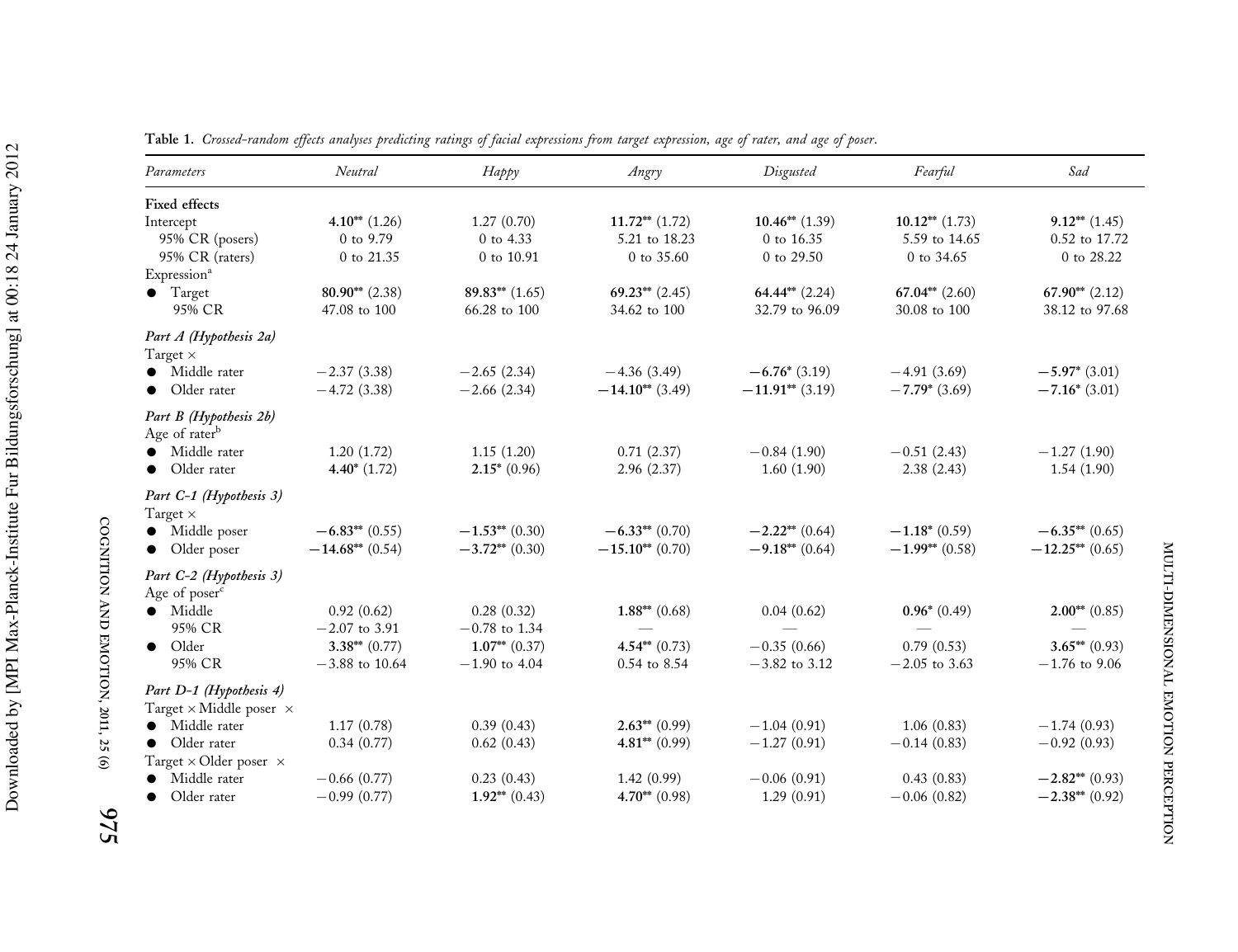| Parameters                                                       | Neutral            | Нарру              | Angry              | Disgusted         | Fearful          | Sad               |
|------------------------------------------------------------------|--------------------|--------------------|--------------------|-------------------|------------------|-------------------|
| <b>Fixed effects</b>                                             |                    |                    |                    |                   |                  |                   |
| Intercept                                                        | $4.10***$ $(1.26)$ | 1.27(0.70)         | $11.72**$ $(1.72)$ | $10.46**$ (1.39)  | $10.12**$ (1.73) | $9.12**$ (1.45)   |
| 95% CR (posers)                                                  | 0 to 9.79          | 0 to 4.33          | 5.21 to 18.23      | 0 to 16.35        | 5.59 to 14.65    | 0.52 to 17.72     |
| 95% CR (raters)                                                  | 0 to 21.35         | 0 to 10.91         | 0 to 35.60         | 0 to 29.50        | 0 to 34.65       | 0 to 28.22        |
| Expression <sup>a</sup>                                          |                    |                    |                    |                   |                  |                   |
| $\bullet$ Target                                                 | $80.90**$ (2.38)   | $89.83**$ (1.65)   | $69.23**$ (2.45)   | $64.44**$ (2.24)  | $67.04**$ (2.60) | $67.90**$ (2.12)  |
| 95% CR                                                           | 47.08 to 100       | 66.28 to 100       | 34.62 to 100       | 32.79 to 96.09    | 30.08 to 100     | 38.12 to 97.68    |
| Part A (Hypothesis 2a)<br>Target $\times$                        |                    |                    |                    |                   |                  |                   |
| • Middle rater                                                   | $-2.37(3.38)$      | $-2.65(2.34)$      | $-4.36(3.49)$      | $-6.76*(3.19)$    | $-4.91(3.69)$    | $-5.97*(3.01)$    |
| • Older rater                                                    | $-4.72(3.38)$      | $-2.66(2.34)$      | $-14.10**$ (3.49)  | $-11.91**$ (3.19) | $-7.79*(3.69)$   | $-7.16*(3.01)$    |
|                                                                  |                    |                    |                    |                   |                  |                   |
| Part B (Hypothesis 2b)<br>Age of rater <sup>b</sup>              |                    |                    |                    |                   |                  |                   |
| • Middle rater                                                   | 1.20(1.72)         | 1.15(1.20)         | 0.71(2.37)         | $-0.84(1.90)$     | $-0.51(2.43)$    | $-1.27(1.90)$     |
| $\bullet$ Older rater                                            | $4.40*(1.72)$      | $2.15*(0.96)$      | 2.96(2.37)         | 1.60(1.90)        | 2.38(2.43)       | 1.54(1.90)        |
| Part C-1 (Hypothesis 3)<br>Target $\times$                       |                    |                    |                    |                   |                  |                   |
| • Middle poser                                                   | $-6.83**$ (0.55)   | $-1.53**$ (0.30)   | $-6.33**$ (0.70)   | $-2.22**$ (0.64)  | $-1.18*(0.59)$   | $-6.35**$ (0.65)  |
| • Older poser                                                    | $-14.68**$ (0.54)  | $-3.72**$ (0.30)   | $-15.10**$ (0.70)  | $-9.18**$ (0.64)  | $-1.99**$ (0.58) | $-12.25**$ (0.65) |
| Part C-2 (Hypothesis 3)                                          |                    |                    |                    |                   |                  |                   |
| Age of poser <sup>c</sup><br>$\bullet$ Middle                    | 0.92(0.62)         | 0.28(0.32)         |                    | 0.04(0.62)        |                  |                   |
| 95% CR                                                           | $-2.07$ to 3.91    | $-0.78$ to 1.34    | $1.88**$ (0.68)    |                   | $0.96*(0.49)$    | $2.00**$ (0.85)   |
| $\bullet$ Older                                                  | $3.38** (0.77)$    | $1.07**$ (0.37)    | $4.54**$ (0.73)    | $-0.35(0.66)$     | 0.79(0.53)       | $3.65**$ (0.93)   |
| 95% CR                                                           | $-3.88$ to 10.64   | $-1.90$ to 4.04    | 0.54 to 8.54       | $-3.82$ to 3.12   | $-2.05$ to 3.63  | $-1.76$ to 9.06   |
|                                                                  |                    |                    |                    |                   |                  |                   |
| Part D-1 (Hypothesis 4)<br>Target $\times$ Middle poser $\times$ |                    |                    |                    |                   |                  |                   |
| • Middle rater                                                   | 1.17(0.78)         | 0.39(0.43)         | $2.63**$ (0.99)    | $-1.04(0.91)$     | 1.06(0.83)       | $-1.74(0.93)$     |
| Older rater<br>$\bullet$                                         | 0.34(0.77)         | 0.62(0.43)         | $4.81**$ (0.99)    | $-1.27(0.91)$     | $-0.14(0.83)$    | $-0.92(0.93)$     |
| Target $\times$ Older poser $\times$                             |                    |                    |                    |                   |                  |                   |
| • Middle rater                                                   | $-0.66(0.77)$      | 0.23(0.43)         | 1.42(0.99)         | $-0.06(0.91)$     | 0.43(0.83)       | $-2.82**$ (0.93)  |
| Older rater<br>$\bullet$                                         | $-0.99(0.77)$      | $1.92^{**}$ (0.43) | $4.70**$ (0.98)    | 1.29(0.91)        | $-0.06(0.82)$    | $-2.38**$ (0.92)  |
|                                                                  |                    |                    |                    |                   |                  |                   |

Table 1. Crossed-random effects analyses predicting ratings of facial expressions from target expression, age of rater, and age of poser.

COGNITION

AND

EMOTION,

 2011,25 (6)

MULTI-DIMENSIONALMULTI-DIMENSIONAL EMOTION PERCEPTION EMOTIONPERCEPTION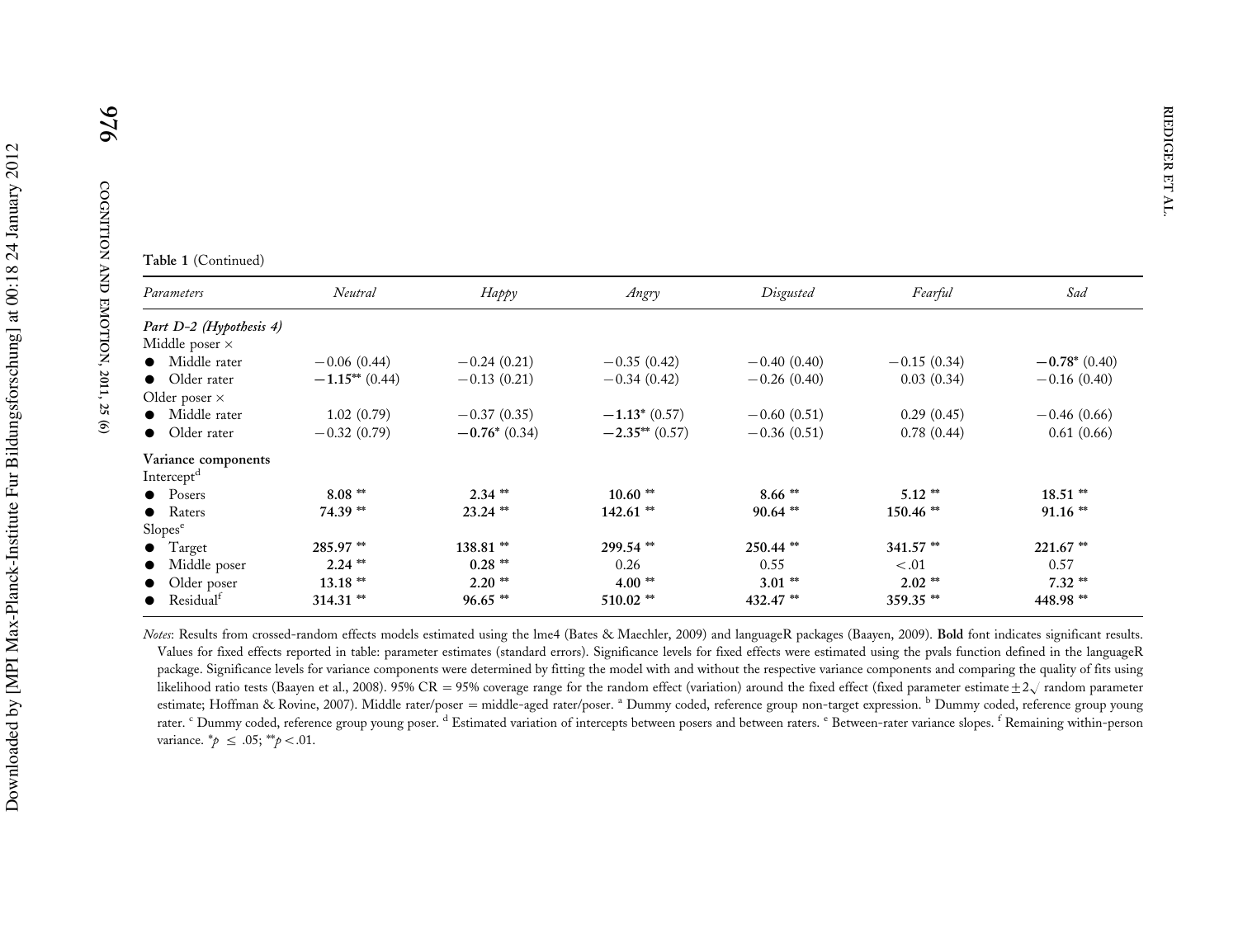Table 1 (Continued)

| Parameters                         | Neutral           | Happy          | Angry                       | Disgusted     | Fearful       | Sad            |
|------------------------------------|-------------------|----------------|-----------------------------|---------------|---------------|----------------|
| Part D-2 (Hypothesis 4)            |                   |                |                             |               |               |                |
| Middle poser $\times$              |                   |                |                             |               |               |                |
| Middle rater<br>$\bullet$          | $-0.06(0.44)$     | $-0.24(0.21)$  | $-0.35(0.42)$               | $-0.40(0.40)$ | $-0.15(0.34)$ | $-0.78*(0.40)$ |
| Older rater<br>$\bullet$           | $-1.15***$ (0.44) | $-0.13(0.21)$  | $-0.34(0.42)$               | $-0.26(0.40)$ | 0.03(0.34)    | $-0.16(0.40)$  |
| Older poser $\times$               |                   |                |                             |               |               |                |
| Middle rater                       | 1.02(0.79)        | $-0.37(0.35)$  | $-1.13$ <sup>*</sup> (0.57) | $-0.60(0.51)$ | 0.29(0.45)    | $-0.46(0.66)$  |
| Older rater<br>$\bullet$           | $-0.32(0.79)$     | $-0.76*(0.34)$ | $-2.35**$ (0.57)            | $-0.36(0.51)$ | 0.78(0.44)    | 0.61(0.66)     |
| Variance components                |                   |                |                             |               |               |                |
| Intercept <sup>d</sup>             |                   |                |                             |               |               |                |
| Posers<br>$\bullet$                | $8.08**$          | $2.34$ **      | $10.60**$                   | $8.66$ **     | $5.12$ **     | $18.51$ **     |
| Raters<br>$\bullet$                | $74.39$ **        | $23.24$ **     | $142.61$ **                 | $90.64$ **    | $150.46$ **   | $91.16$ **     |
| Slopes <sup>e</sup>                |                   |                |                             |               |               |                |
| Target<br>$\bullet$                | 285.97**          | $138.81$ **    | 299.54**                    | $250.44$ **   | 341.57**      | $221.67$ **    |
| Middle poser                       | $2.24$ **         | $0.28$ **      | 0.26                        | 0.55          | < 0.01        | 0.57           |
| Older poser                        | $13.18$ **        | $2.20$ **      | $4.00**$                    | $3.01$ **     | $2.02$ **     | $7.32**$       |
| Residual <sup>t</sup><br>$\bullet$ | $314.31$ **       | $96.65$ **     | $510.02$ **                 | 432.47**      | $359.35$ **   | 448.98**       |

Notes: Results from crossed-random effects models estimated using the lme4 (Bates & Maechler, 2009) and languageR packages (Baayen, 2009). Bold font indicates significant results. Values for fixed effects reported in table: parameter estimates (standard errors). Significance levels for fixed effects were estimated using the pvals function defined in the languageR package. Significance levels for variance components were determined by fitting the model with and without the respective variance components and comparing the quality of fits using likelihood ratio tests (Baayen et al., 2008). 95% CR = 95% coverage range for the random effect (variation) around the fixed effect (fixed parameter estimate $\pm 2\sqrt{\ }$  random parameter estimate; Hoffman & Rovine, 2007). Middle rater/poser = middle-aged rater/poser. <sup>a</sup> Dummy coded, reference group non-target expression. <sup>b</sup> Dummy coded, reference group young rater. C Dummy coded, reference group young poser. <sup>d</sup> Estimated variation of intercepts between posers and between raters. <sup>e</sup> Between-rater variance slopes. <sup>f</sup> Remaining within-person variance.  $*\rho \le .05; **\rho < .01$ .

COGNITION

AND

EMOTION,

 2011, 25(6)

Downloaded by [MPI Max-Planck-Institute Fur Bildungsforschung] at 00:18 24 January 2012 Downloaded by [MPI Max-Planck-Institute Fur Bildungsforschung] at 00:18 24 January 2012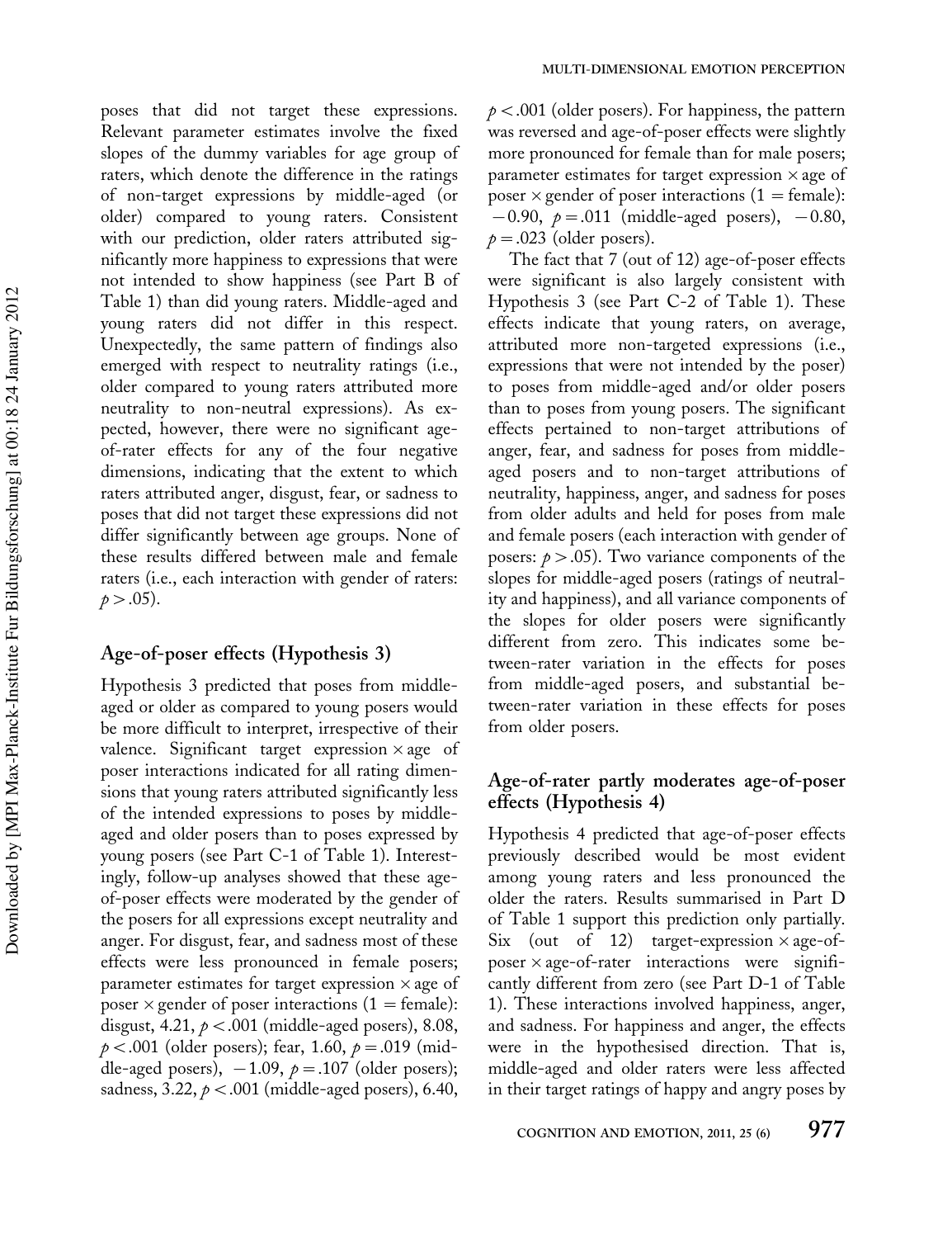poses that did not target these expressions. Relevant parameter estimates involve the fixed slopes of the dummy variables for age group of raters, which denote the difference in the ratings of non-target expressions by middle-aged (or older) compared to young raters. Consistent with our prediction, older raters attributed significantly more happiness to expressions that were not intended to show happiness (see Part B of Table 1) than did young raters. Middle-aged and young raters did not differ in this respect. Unexpectedly, the same pattern of findings also emerged with respect to neutrality ratings (i.e., older compared to young raters attributed more neutrality to non-neutral expressions). As expected, however, there were no significant ageof-rater effects for any of the four negative dimensions, indicating that the extent to which raters attributed anger, disgust, fear, or sadness to poses that did not target these expressions did not differ significantly between age groups. None of these results differed between male and female raters (i.e., each interaction with gender of raters:  $p > .05$ ).

#### Age-of-poser effects (Hypothesis 3)

Hypothesis 3 predicted that poses from middleaged or older as compared to young posers would be more difficult to interpret, irrespective of their valence. Significant target expression  $\times$  age of poser interactions indicated for all rating dimensions that young raters attributed significantly less of the intended expressions to poses by middleaged and older posers than to poses expressed by young posers (see Part C-1 of Table 1). Interestingly, follow-up analyses showed that these ageof-poser effects were moderated by the gender of the posers for all expressions except neutrality and anger. For disgust, fear, and sadness most of these effects were less pronounced in female posers; parameter estimates for target expression  $\times$  age of poser  $\times$  gender of poser interactions (1 = female): disgust, 4.21,  $p < .001$  (middle-aged posers), 8.08,  $p < .001$  (older posers); fear, 1.60,  $p = .019$  (middle-aged posers),  $-1.09$ ,  $p = .107$  (older posers); sadness, 3.22,  $p < .001$  (middle-aged posers), 6.40,

 $p < .001$  (older posers). For happiness, the pattern was reversed and age-of-poser effects were slightly more pronounced for female than for male posers; parameter estimates for target expression  $\times$  age of poser  $\times$  gender of poser interactions (1 = female):  $-0.90, p = .011$  (middle-aged posers),  $-0.80,$  $p = .023$  (older posers).

The fact that 7 (out of 12) age-of-poser effects were significant is also largely consistent with Hypothesis 3 (see Part C-2 of Table 1). These effects indicate that young raters, on average, attributed more non-targeted expressions (i.e., expressions that were not intended by the poser) to poses from middle-aged and/or older posers than to poses from young posers. The significant effects pertained to non-target attributions of anger, fear, and sadness for poses from middleaged posers and to non-target attributions of neutrality, happiness, anger, and sadness for poses from older adults and held for poses from male and female posers (each interaction with gender of posers:  $p > .05$ ). Two variance components of the slopes for middle-aged posers (ratings of neutrality and happiness), and all variance components of the slopes for older posers were significantly different from zero. This indicates some between-rater variation in the effects for poses from middle-aged posers, and substantial between-rater variation in these effects for poses from older posers.

#### Age-of-rater partly moderates age-of-poser effects (Hypothesis 4)

Hypothesis 4 predicted that age-of-poser effects previously described would be most evident among young raters and less pronounced the older the raters. Results summarised in Part D of Table 1 support this prediction only partially. Six (out of 12) target-expression  $\times$  age-ofposer  $\times$  age-of-rater interactions were significantly different from zero (see Part D-1 of Table 1). These interactions involved happiness, anger, and sadness. For happiness and anger, the effects were in the hypothesised direction. That is, middle-aged and older raters were less affected in their target ratings of happy and angry poses by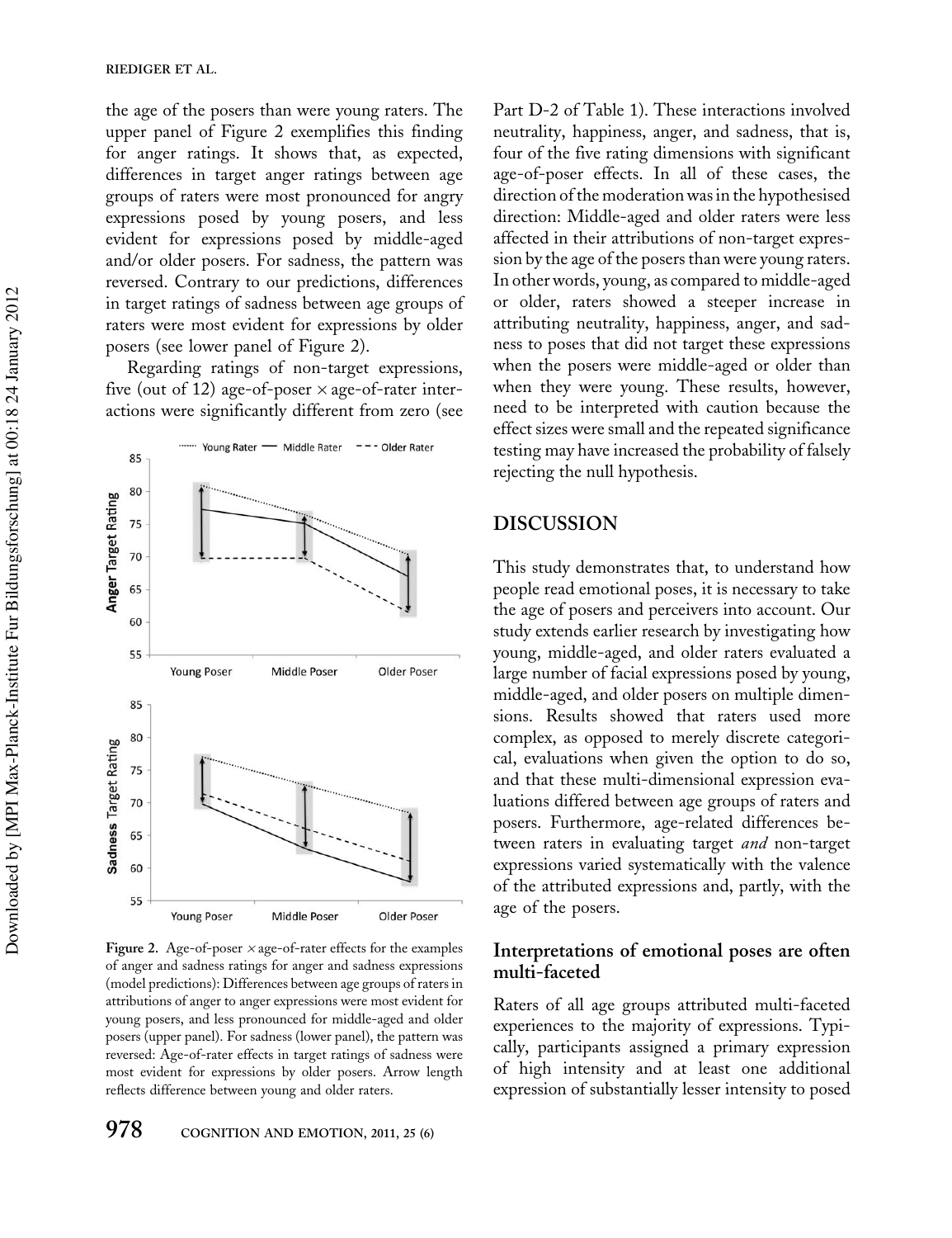the age of the posers than were young raters. The upper panel of Figure 2 exemplifies this finding for anger ratings. It shows that, as expected, differences in target anger ratings between age groups of raters were most pronounced for angry expressions posed by young posers, and less evident for expressions posed by middle-aged and/or older posers. For sadness, the pattern was reversed. Contrary to our predictions, differences in target ratings of sadness between age groups of raters were most evident for expressions by older posers (see lower panel of Figure 2).

Regarding ratings of non-target expressions, five (out of 12) age-of-poser  $\times$  age-of-rater interactions were significantly different from zero (see



Figure 2. Age-of-poser  $\times$  age-of-rater effects for the examples of anger and sadness ratings for anger and sadness expressions (model predictions): Differences between age groups of raters in attributions of anger to anger expressions were most evident for young posers, and less pronounced for middle-aged and older posers (upper panel). For sadness (lower panel), the pattern was reversed: Age-of-rater effects in target ratings of sadness were most evident for expressions by older posers. Arrow length reflects difference between young and older raters.

Part D-2 of Table 1). These interactions involved neutrality, happiness, anger, and sadness, that is, four of the five rating dimensions with significant age-of-poser effects. In all of these cases, the direction of the moderation was in the hypothesised direction: Middle-aged and older raters were less affected in their attributions of non-target expression by the age of the posers than were young raters. In other words, young, as compared to middle-aged or older, raters showed a steeper increase in attributing neutrality, happiness, anger, and sadness to poses that did not target these expressions when the posers were middle-aged or older than when they were young. These results, however, need to be interpreted with caution because the effect sizes were small and the repeated significance testing may have increased the probability of falsely rejecting the null hypothesis.

#### DISCUSSION

This study demonstrates that, to understand how people read emotional poses, it is necessary to take the age of posers and perceivers into account. Our study extends earlier research by investigating how young, middle-aged, and older raters evaluated a large number of facial expressions posed by young, middle-aged, and older posers on multiple dimensions. Results showed that raters used more complex, as opposed to merely discrete categorical, evaluations when given the option to do so, and that these multi-dimensional expression evaluations differed between age groups of raters and posers. Furthermore, age-related differences between raters in evaluating target *and* non-target expressions varied systematically with the valence of the attributed expressions and, partly, with the age of the posers.

#### Interpretations of emotional poses are often multi-faceted

Raters of all age groups attributed multi-faceted experiences to the majority of expressions. Typically, participants assigned a primary expression of high intensity and at least one additional expression of substantially lesser intensity to posed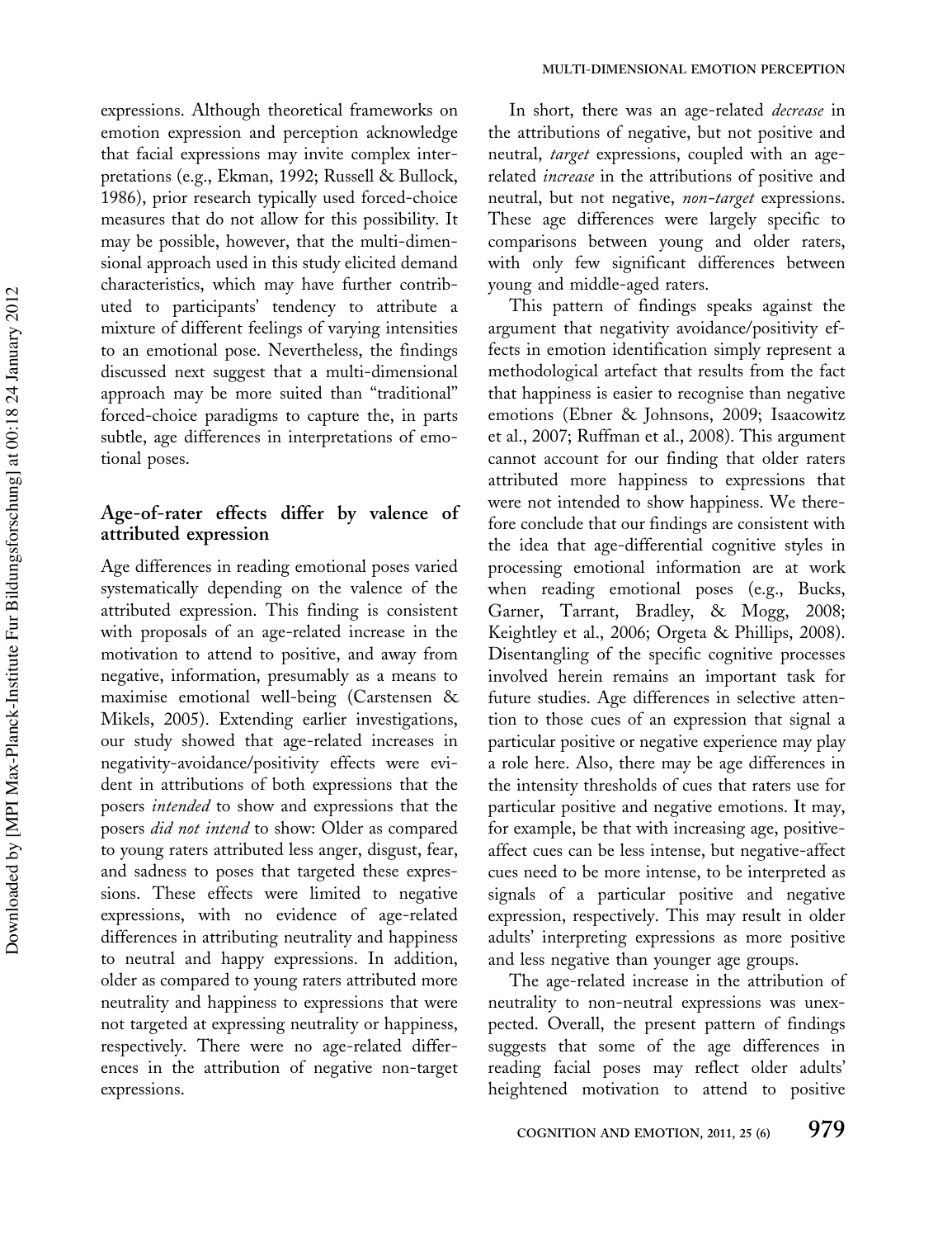expressions. Although theoretical frameworks on emotion expression and perception acknowledge that facial expressions may invite complex interpretations (e.g., Ekman, 1992; Russell & Bullock, 1986), prior research typically used forced-choice measures that do not allow for this possibility. It may be possible, however, that the multi-dimensional approach used in this study elicited demand characteristics, which may have further contributed to participants' tendency to attribute a mixture of different feelings of varying intensities to an emotional pose. Nevertheless, the findings discussed next suggest that a multi-dimensional approach may be more suited than ''traditional'' forced-choice paradigms to capture the, in parts subtle, age differences in interpretations of emotional poses.

## Age-of-rater effects differ by valence of attributed expression

Age differences in reading emotional poses varied systematically depending on the valence of the attributed expression. This finding is consistent with proposals of an age-related increase in the motivation to attend to positive, and away from negative, information, presumably as a means to maximise emotional well-being (Carstensen & Mikels, 2005). Extending earlier investigations, our study showed that age-related increases in negativity-avoidance/positivity effects were evident in attributions of both expressions that the posers intended to show and expressions that the posers did not intend to show: Older as compared to young raters attributed less anger, disgust, fear, and sadness to poses that targeted these expressions. These effects were limited to negative expressions, with no evidence of age-related differences in attributing neutrality and happiness to neutral and happy expressions. In addition, older as compared to young raters attributed more neutrality and happiness to expressions that were not targeted at expressing neutrality or happiness, respectively. There were no age-related differences in the attribution of negative non-target expressions.

In short, there was an age-related *decrease* in the attributions of negative, but not positive and neutral, target expressions, coupled with an agerelated *increase* in the attributions of positive and neutral, but not negative, non-target expressions. These age differences were largely specific to comparisons between young and older raters, with only few significant differences between young and middle-aged raters.

This pattern of findings speaks against the argument that negativity avoidance/positivity effects in emotion identification simply represent a methodological artefact that results from the fact that happiness is easier to recognise than negative emotions (Ebner & Johnsons, 2009; Isaacowitz et al., 2007; Ruffman et al., 2008). This argument cannot account for our finding that older raters attributed more happiness to expressions that were not intended to show happiness. We therefore conclude that our findings are consistent with the idea that age-differential cognitive styles in processing emotional information are at work when reading emotional poses (e.g., Bucks, Garner, Tarrant, Bradley, & Mogg, 2008; Keightley et al., 2006; Orgeta & Phillips, 2008). Disentangling of the specific cognitive processes involved herein remains an important task for future studies. Age differences in selective attention to those cues of an expression that signal a particular positive or negative experience may play a role here. Also, there may be age differences in the intensity thresholds of cues that raters use for particular positive and negative emotions. It may, for example, be that with increasing age, positiveaffect cues can be less intense, but negative-affect cues need to be more intense, to be interpreted as signals of a particular positive and negative expression, respectively. This may result in older adults' interpreting expressions as more positive and less negative than younger age groups.

The age-related increase in the attribution of neutrality to non-neutral expressions was unexpected. Overall, the present pattern of findings suggests that some of the age differences in reading facial poses may reflect older adults' heightened motivation to attend to positive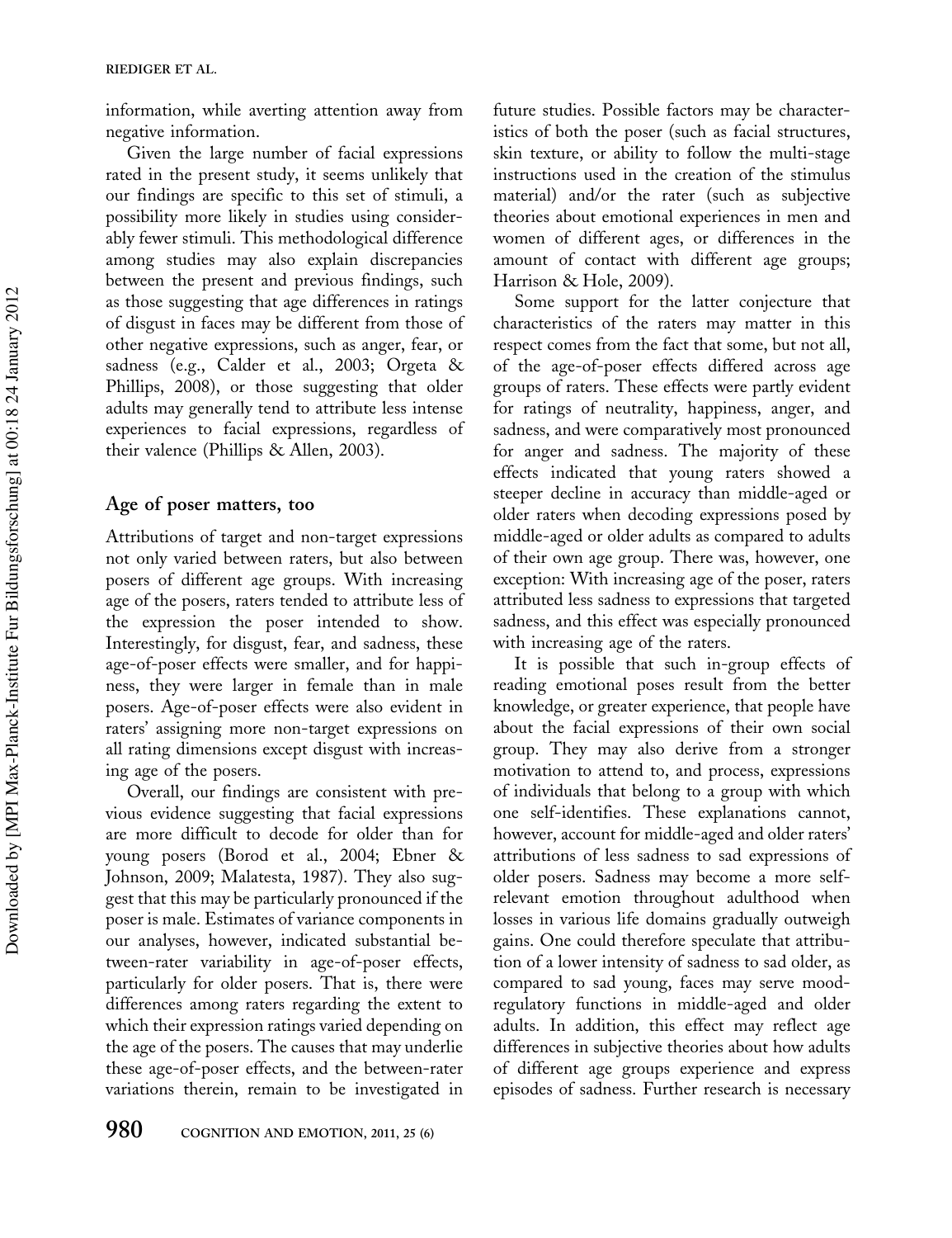information, while averting attention away from negative information.

Given the large number of facial expressions rated in the present study, it seems unlikely that our findings are specific to this set of stimuli, a possibility more likely in studies using considerably fewer stimuli. This methodological difference among studies may also explain discrepancies between the present and previous findings, such as those suggesting that age differences in ratings of disgust in faces may be different from those of other negative expressions, such as anger, fear, or sadness (e.g., Calder et al., 2003; Orgeta & Phillips, 2008), or those suggesting that older adults may generally tend to attribute less intense experiences to facial expressions, regardless of their valence (Phillips & Allen, 2003).

#### Age of poser matters, too

Attributions of target and non-target expressions not only varied between raters, but also between posers of different age groups. With increasing age of the posers, raters tended to attribute less of the expression the poser intended to show. Interestingly, for disgust, fear, and sadness, these age-of-poser effects were smaller, and for happiness, they were larger in female than in male posers. Age-of-poser effects were also evident in raters' assigning more non-target expressions on all rating dimensions except disgust with increasing age of the posers.

Overall, our findings are consistent with previous evidence suggesting that facial expressions are more difficult to decode for older than for young posers (Borod et al., 2004; Ebner & Johnson, 2009; Malatesta, 1987). They also suggest that this may be particularly pronounced if the poser is male. Estimates of variance components in our analyses, however, indicated substantial between-rater variability in age-of-poser effects, particularly for older posers. That is, there were differences among raters regarding the extent to which their expression ratings varied depending on the age of the posers. The causes that may underlie these age-of-poser effects, and the between-rater variations therein, remain to be investigated in

future studies. Possible factors may be characteristics of both the poser (such as facial structures, skin texture, or ability to follow the multi-stage instructions used in the creation of the stimulus material) and/or the rater (such as subjective theories about emotional experiences in men and women of different ages, or differences in the amount of contact with different age groups; Harrison & Hole, 2009).

Some support for the latter conjecture that characteristics of the raters may matter in this respect comes from the fact that some, but not all, of the age-of-poser effects differed across age groups of raters. These effects were partly evident for ratings of neutrality, happiness, anger, and sadness, and were comparatively most pronounced for anger and sadness. The majority of these effects indicated that young raters showed a steeper decline in accuracy than middle-aged or older raters when decoding expressions posed by middle-aged or older adults as compared to adults of their own age group. There was, however, one exception: With increasing age of the poser, raters attributed less sadness to expressions that targeted sadness, and this effect was especially pronounced with increasing age of the raters.

It is possible that such in-group effects of reading emotional poses result from the better knowledge, or greater experience, that people have about the facial expressions of their own social group. They may also derive from a stronger motivation to attend to, and process, expressions of individuals that belong to a group with which one self-identifies. These explanations cannot, however, account for middle-aged and older raters' attributions of less sadness to sad expressions of older posers. Sadness may become a more selfrelevant emotion throughout adulthood when losses in various life domains gradually outweigh gains. One could therefore speculate that attribution of a lower intensity of sadness to sad older, as compared to sad young, faces may serve moodregulatory functions in middle-aged and older adults. In addition, this effect may reflect age differences in subjective theories about how adults of different age groups experience and express episodes of sadness. Further research is necessary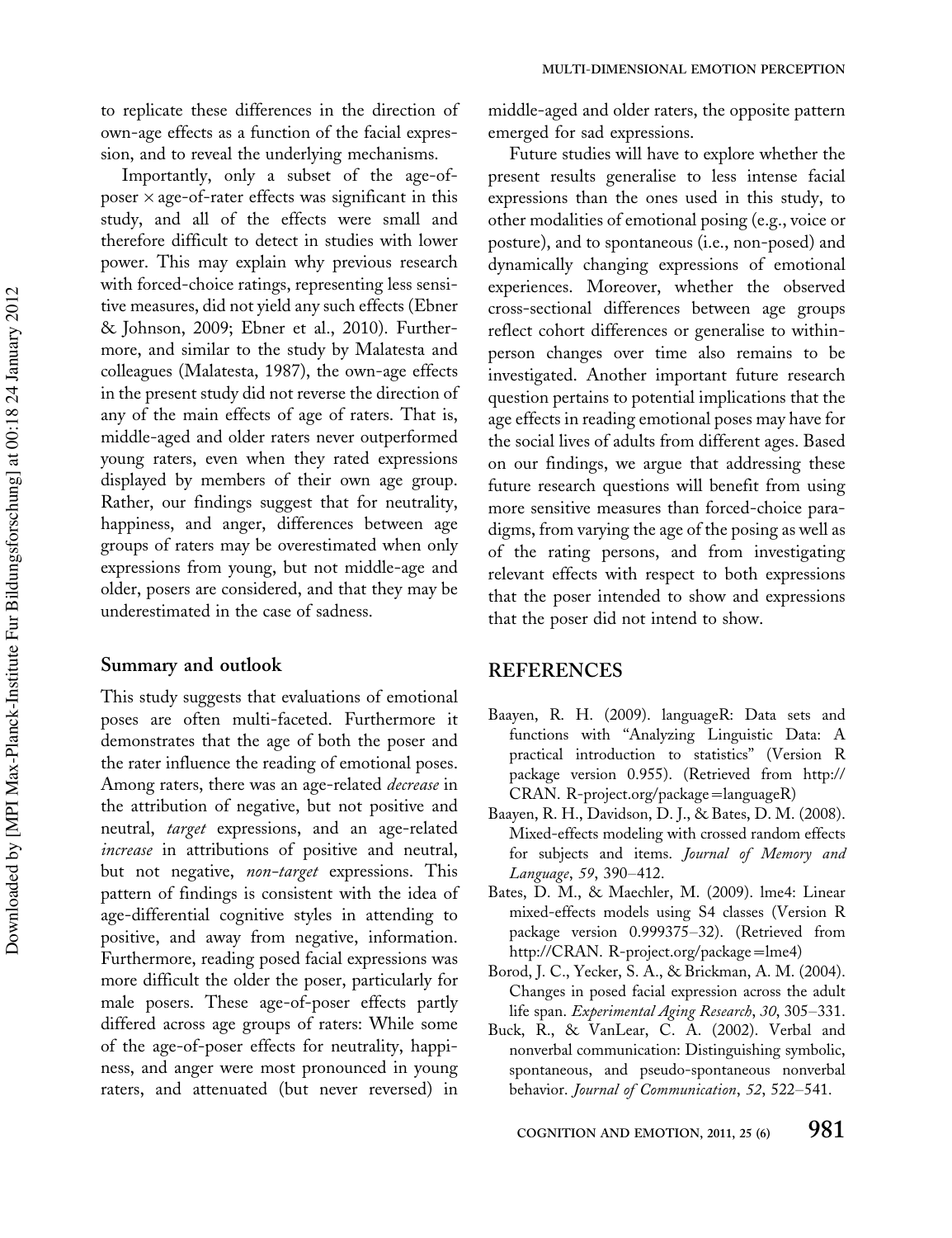to replicate these differences in the direction of own-age effects as a function of the facial expression, and to reveal the underlying mechanisms.

Importantly, only a subset of the age-ofposer  $\times$  age-of-rater effects was significant in this study, and all of the effects were small and therefore difficult to detect in studies with lower power. This may explain why previous research with forced-choice ratings, representing less sensitive measures, did not yield any such effects (Ebner & Johnson, 2009; Ebner et al., 2010). Furthermore, and similar to the study by Malatesta and colleagues (Malatesta, 1987), the own-age effects in the present study did not reverse the direction of any of the main effects of age of raters. That is, middle-aged and older raters never outperformed young raters, even when they rated expressions displayed by members of their own age group. Rather, our findings suggest that for neutrality, happiness, and anger, differences between age groups of raters may be overestimated when only expressions from young, but not middle-age and older, posers are considered, and that they may be underestimated in the case of sadness.

#### Summary and outlook

This study suggests that evaluations of emotional poses are often multi-faceted. Furthermore it demonstrates that the age of both the poser and the rater influence the reading of emotional poses. Among raters, there was an age-related *decrease* in the attribution of negative, but not positive and neutral, target expressions, and an age-related increase in attributions of positive and neutral, but not negative, non-target expressions. This pattern of findings is consistent with the idea of age-differential cognitive styles in attending to positive, and away from negative, information. Furthermore, reading posed facial expressions was more difficult the older the poser, particularly for male posers. These age-of-poser effects partly differed across age groups of raters: While some of the age-of-poser effects for neutrality, happiness, and anger were most pronounced in young raters, and attenuated (but never reversed) in

middle-aged and older raters, the opposite pattern emerged for sad expressions.

Future studies will have to explore whether the present results generalise to less intense facial expressions than the ones used in this study, to other modalities of emotional posing (e.g., voice or posture), and to spontaneous (i.e., non-posed) and dynamically changing expressions of emotional experiences. Moreover, whether the observed cross-sectional differences between age groups reflect cohort differences or generalise to withinperson changes over time also remains to be investigated. Another important future research question pertains to potential implications that the age effects in reading emotional poses may have for the social lives of adults from different ages. Based on our findings, we argue that addressing these future research questions will benefit from using more sensitive measures than forced-choice paradigms, from varying the age of the posing as well as of the rating persons, and from investigating relevant effects with respect to both expressions that the poser intended to show and expressions that the poser did not intend to show.

#### REFERENCES

- Baayen, R. H. (2009). languageR: Data sets and functions with ''Analyzing Linguistic Data: A practical introduction to statistics'' (Version R package version 0.955). (Retrieved from http://  $CRAN.$  R-project.org/package=languageR)
- Baayen, R. H., Davidson, D. J., & Bates, D. M. (2008). Mixed-effects modeling with crossed random effects for subjects and items. Journal of Memory and Language, 59, 390-412.
- Bates, D. M., & Maechler, M. (2009). lme4: Linear mixed-effects models using S4 classes (Version R package version 0.999375-32). (Retrieved from http://CRAN. R-project.org/package=lme4)
- Borod, J. C., Yecker, S. A., & Brickman, A. M. (2004). Changes in posed facial expression across the adult life span. Experimental Aging Research, 30, 305-331.
- Buck, R., & VanLear, C. A. (2002). Verbal and nonverbal communication: Distinguishing symbolic, spontaneous, and pseudo-spontaneous nonverbal behavior. Journal of Communication, 52, 522-541.

Downloaded by [MPI Max-Planck-Institute Fur Bildungsforschung] at 00:18 24 January 2012 Downloaded by [MPI Max-Planck-Institute Fur Bildungsforschung] at 00:18 24 January 2012